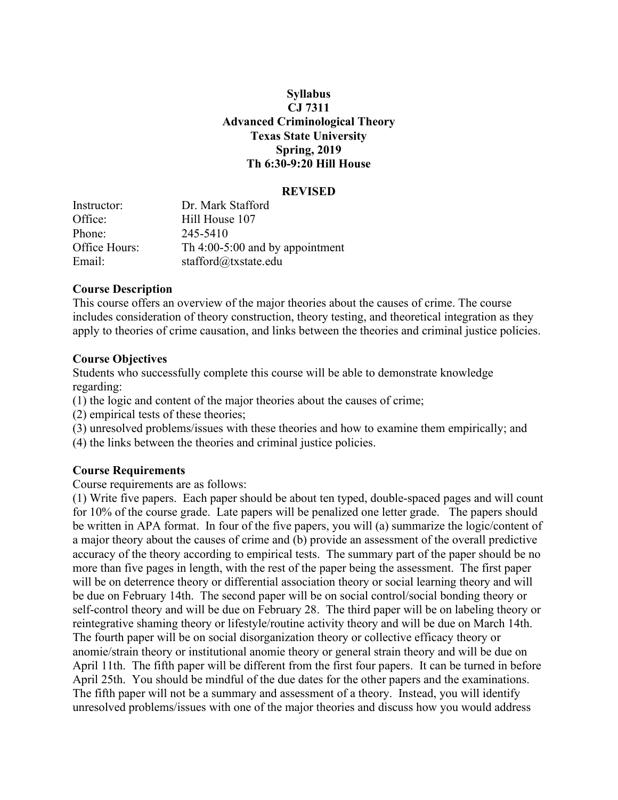#### **Syllabus CJ 7311 Advanced Criminological Theory Texas State University Spring, 2019 Th 6:30-9:20 Hill House**

#### **REVISED**

| Instructor:   | Dr. Mark Stafford                 |
|---------------|-----------------------------------|
| Office:       | Hill House 107                    |
| Phone:        | 245-5410                          |
| Office Hours: | Th $4:00-5:00$ and by appointment |
| Email:        | stafford@txstate.edu              |

#### **Course Description**

This course offers an overview of the major theories about the causes of crime. The course includes consideration of theory construction, theory testing, and theoretical integration as they apply to theories of crime causation, and links between the theories and criminal justice policies.

#### **Course Objectives**

Students who successfully complete this course will be able to demonstrate knowledge regarding:

(1) the logic and content of the major theories about the causes of crime;

- (2) empirical tests of these theories;
- (3) unresolved problems/issues with these theories and how to examine them empirically; and
- (4) the links between the theories and criminal justice policies.

#### **Course Requirements**

Course requirements are as follows:

(1) Write five papers. Each paper should be about ten typed, double-spaced pages and will count for 10% of the course grade. Late papers will be penalized one letter grade. The papers should be written in APA format. In four of the five papers, you will (a) summarize the logic/content of a major theory about the causes of crime and (b) provide an assessment of the overall predictive accuracy of the theory according to empirical tests. The summary part of the paper should be no more than five pages in length, with the rest of the paper being the assessment. The first paper will be on deterrence theory or differential association theory or social learning theory and will be due on February 14th. The second paper will be on social control/social bonding theory or self-control theory and will be due on February 28. The third paper will be on labeling theory or reintegrative shaming theory or lifestyle/routine activity theory and will be due on March 14th. The fourth paper will be on social disorganization theory or collective efficacy theory or anomie/strain theory or institutional anomie theory or general strain theory and will be due on April 11th. The fifth paper will be different from the first four papers. It can be turned in before April 25th. You should be mindful of the due dates for the other papers and the examinations. The fifth paper will not be a summary and assessment of a theory. Instead, you will identify unresolved problems/issues with one of the major theories and discuss how you would address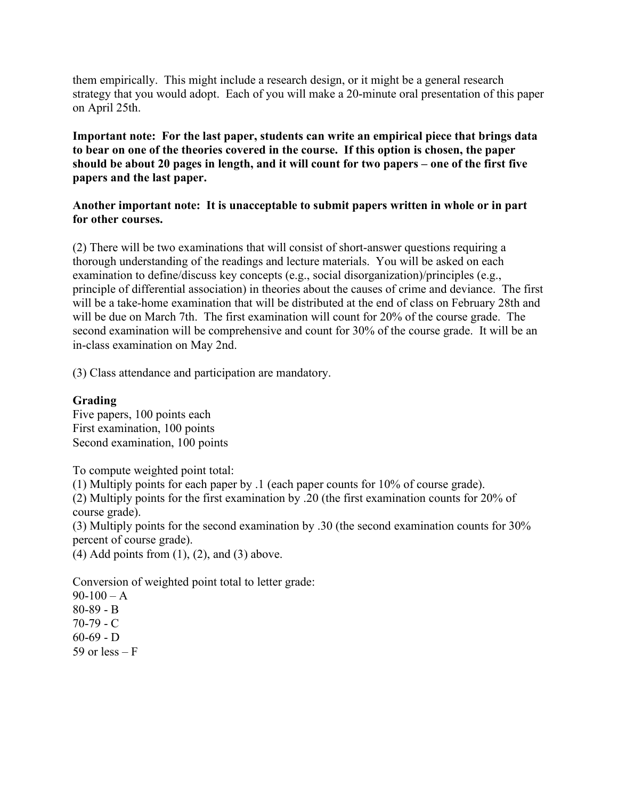them empirically. This might include a research design, or it might be a general research strategy that you would adopt. Each of you will make a 20-minute oral presentation of this paper on April 25th.

**Important note: For the last paper, students can write an empirical piece that brings data to bear on one of the theories covered in the course. If this option is chosen, the paper should be about 20 pages in length, and it will count for two papers – one of the first five papers and the last paper.**

#### **Another important note: It is unacceptable to submit papers written in whole or in part for other courses.**

(2) There will be two examinations that will consist of short-answer questions requiring a thorough understanding of the readings and lecture materials. You will be asked on each examination to define/discuss key concepts (e.g., social disorganization)/principles (e.g., principle of differential association) in theories about the causes of crime and deviance. The first will be a take-home examination that will be distributed at the end of class on February 28th and will be due on March 7th. The first examination will count for 20% of the course grade. The second examination will be comprehensive and count for 30% of the course grade. It will be an in-class examination on May 2nd.

(3) Class attendance and participation are mandatory.

### **Grading**

Five papers, 100 points each First examination, 100 points Second examination, 100 points

To compute weighted point total:

(1) Multiply points for each paper by .1 (each paper counts for 10% of course grade).

(2) Multiply points for the first examination by .20 (the first examination counts for 20% of course grade).

(3) Multiply points for the second examination by .30 (the second examination counts for 30% percent of course grade).

 $(4)$  Add points from  $(1)$ ,  $(2)$ , and  $(3)$  above.

Conversion of weighted point total to letter grade:

 $90-100 - A$ 80-89 - B 70-79 - C  $60-69 - D$ 59 or less  $- F$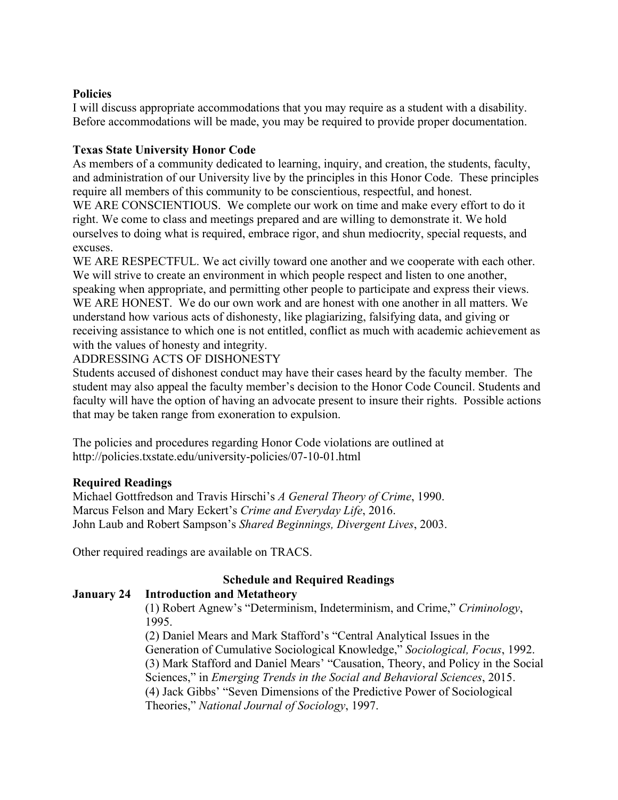#### **Policies**

I will discuss appropriate accommodations that you may require as a student with a disability. Before accommodations will be made, you may be required to provide proper documentation.

## **Texas State University Honor Code**

As members of a community dedicated to learning, inquiry, and creation, the students, faculty, and administration of our University live by the principles in this Honor Code. These principles require all members of this community to be conscientious, respectful, and honest. WE ARE CONSCIENTIOUS. We complete our work on time and make every effort to do it right. We come to class and meetings prepared and are willing to demonstrate it. We hold ourselves to doing what is required, embrace rigor, and shun mediocrity, special requests, and excuses.

WE ARE RESPECTFUL. We act civilly toward one another and we cooperate with each other. We will strive to create an environment in which people respect and listen to one another, speaking when appropriate, and permitting other people to participate and express their views. WE ARE HONEST. We do our own work and are honest with one another in all matters. We understand how various acts of dishonesty, like plagiarizing, falsifying data, and giving or receiving assistance to which one is not entitled, conflict as much with academic achievement as with the values of honesty and integrity.

### ADDRESSING ACTS OF DISHONESTY

Students accused of dishonest conduct may have their cases heard by the faculty member. The student may also appeal the faculty member's decision to the Honor Code Council. Students and faculty will have the option of having an advocate present to insure their rights. Possible actions that may be taken range from exoneration to expulsion.

The policies and procedures regarding Honor Code violations are outlined at http://policies.txstate.edu/university-policies/07-10-01.html

### **Required Readings**

Michael Gottfredson and Travis Hirschi's *A General Theory of Crime*, 1990. Marcus Felson and Mary Eckert's *Crime and Everyday Life*, 2016. John Laub and Robert Sampson's *Shared Beginnings, Divergent Lives*, 2003.

Other required readings are available on TRACS.

# **Schedule and Required Readings**

### **January 24 Introduction and Metatheory**

(1) Robert Agnew's "Determinism, Indeterminism, and Crime," *Criminology*, 1995.

(2) Daniel Mears and Mark Stafford's "Central Analytical Issues in the Generation of Cumulative Sociological Knowledge," *Sociological, Focus*, 1992. (3) Mark Stafford and Daniel Mears' "Causation, Theory, and Policy in the Social Sciences," in *Emerging Trends in the Social and Behavioral Sciences*, 2015. (4) Jack Gibbs' "Seven Dimensions of the Predictive Power of Sociological Theories," *National Journal of Sociology*, 1997.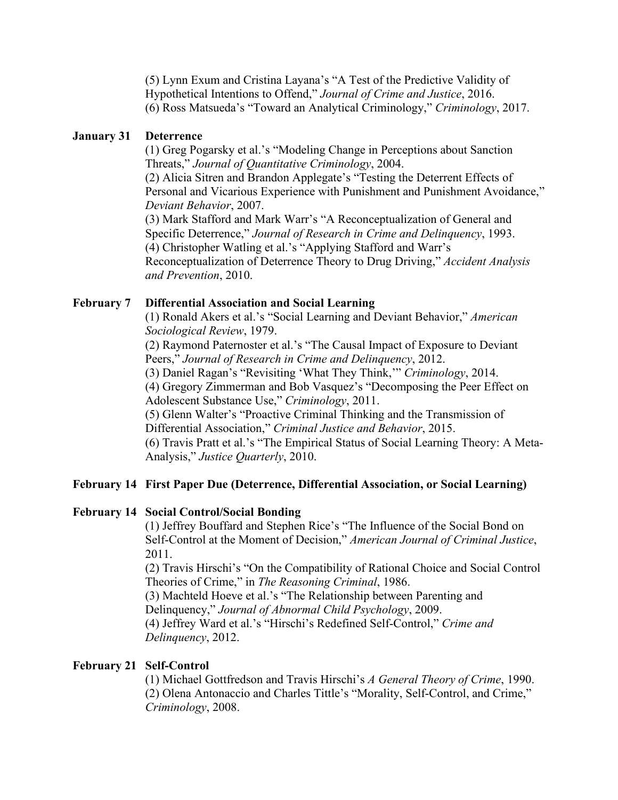(5) Lynn Exum and Cristina Layana's "A Test of the Predictive Validity of Hypothetical Intentions to Offend," *Journal of Crime and Justice*, 2016. (6) Ross Matsueda's "Toward an Analytical Criminology," *Criminology*, 2017.

#### **January 31 Deterrence**

(1) Greg Pogarsky et al.'s "Modeling Change in Perceptions about Sanction Threats," *Journal of Quantitative Criminology*, 2004. (2) Alicia Sitren and Brandon Applegate's "Testing the Deterrent Effects of Personal and Vicarious Experience with Punishment and Punishment Avoidance," *Deviant Behavior*, 2007. (3) Mark Stafford and Mark Warr's "A Reconceptualization of General and Specific Deterrence," *Journal of Research in Crime and Delinquency*, 1993. (4) Christopher Watling et al.'s "Applying Stafford and Warr's Reconceptualization of Deterrence Theory to Drug Driving," *Accident Analysis and Prevention*, 2010.

#### **February 7 Differential Association and Social Learning**

(1) Ronald Akers et al.'s "Social Learning and Deviant Behavior," *American Sociological Review*, 1979.

(2) Raymond Paternoster et al.'s "The Causal Impact of Exposure to Deviant Peers," *Journal of Research in Crime and Delinquency*, 2012.

(3) Daniel Ragan's "Revisiting 'What They Think,'" *Criminology*, 2014.

(4) Gregory Zimmerman and Bob Vasquez's "Decomposing the Peer Effect on Adolescent Substance Use," *Criminology*, 2011.

(5) Glenn Walter's "Proactive Criminal Thinking and the Transmission of Differential Association," *Criminal Justice and Behavior*, 2015.

(6) Travis Pratt et al.'s "The Empirical Status of Social Learning Theory: A Meta-Analysis," *Justice Quarterly*, 2010.

#### **February 14 First Paper Due (Deterrence, Differential Association, or Social Learning)**

#### **February 14 Social Control/Social Bonding**

(1) Jeffrey Bouffard and Stephen Rice's "The Influence of the Social Bond on Self-Control at the Moment of Decision," *American Journal of Criminal Justice*, 2011.

(2) Travis Hirschi's "On the Compatibility of Rational Choice and Social Control Theories of Crime," in *The Reasoning Criminal*, 1986.

(3) Machteld Hoeve et al.'s "The Relationship between Parenting and Delinquency," *Journal of Abnormal Child Psychology*, 2009.

(4) Jeffrey Ward et al.'s "Hirschi's Redefined Self-Control," *Crime and Delinquency*, 2012.

### **February 21 Self-Control**

(1) Michael Gottfredson and Travis Hirschi's *A General Theory of Crime*, 1990. (2) Olena Antonaccio and Charles Tittle's "Morality, Self-Control, and Crime," *Criminology*, 2008.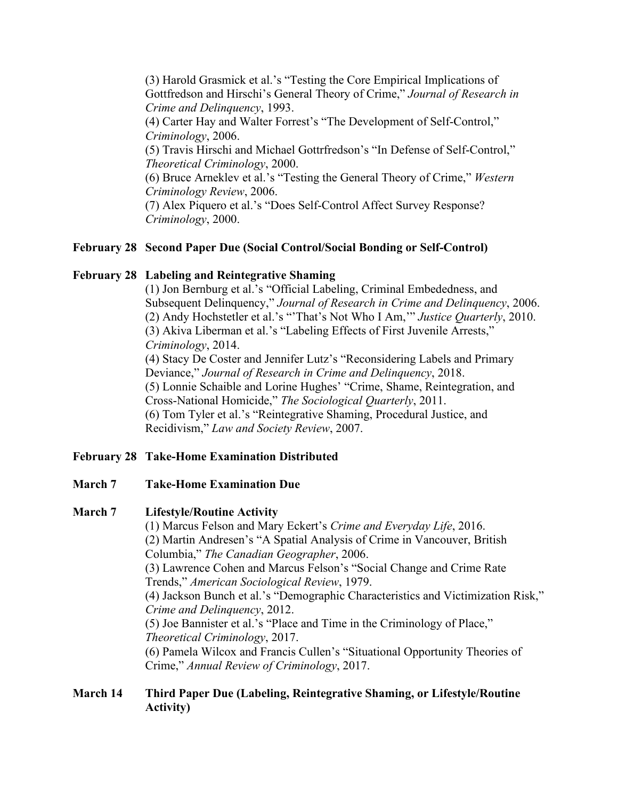(3) Harold Grasmick et al.'s "Testing the Core Empirical Implications of Gottfredson and Hirschi's General Theory of Crime," *Journal of Research in Crime and Delinquency*, 1993. (4) Carter Hay and Walter Forrest's "The Development of Self-Control," *Criminology*, 2006. (5) Travis Hirschi and Michael Gottrfredson's "In Defense of Self-Control," *Theoretical Criminology*, 2000.

(6) Bruce Arneklev et al.'s "Testing the General Theory of Crime," *Western Criminology Review*, 2006.

(7) Alex Piquero et al.'s "Does Self-Control Affect Survey Response? *Criminology*, 2000.

### **February 28 Second Paper Due (Social Control/Social Bonding or Self-Control)**

### **February 28 Labeling and Reintegrative Shaming**

(1) Jon Bernburg et al.'s "Official Labeling, Criminal Embededness, and Subsequent Delinquency," *Journal of Research in Crime and Delinquency*, 2006. (2) Andy Hochstetler et al.'s "'That's Not Who I Am,'" *Justice Quarterly*, 2010. (3) Akiva Liberman et al.'s "Labeling Effects of First Juvenile Arrests," *Criminology*, 2014. (4) Stacy De Coster and Jennifer Lutz's "Reconsidering Labels and Primary

Deviance," *Journal of Research in Crime and Delinquency*, 2018. (5) Lonnie Schaible and Lorine Hughes' "Crime, Shame, Reintegration, and Cross-National Homicide," *The Sociological Quarterly*, 2011. (6) Tom Tyler et al.'s "Reintegrative Shaming, Procedural Justice, and Recidivism," *Law and Society Review*, 2007.

### **February 28 Take-Home Examination Distributed**

### **March 7 Take-Home Examination Due**

### **March 7 Lifestyle/Routine Activity**

(1) Marcus Felson and Mary Eckert's *Crime and Everyday Life*, 2016. (2) Martin Andresen's "A Spatial Analysis of Crime in Vancouver, British Columbia," *The Canadian Geographer*, 2006. (3) Lawrence Cohen and Marcus Felson's "Social Change and Crime Rate Trends," *American Sociological Review*, 1979. (4) Jackson Bunch et al.'s "Demographic Characteristics and Victimization Risk," *Crime and Delinquency*, 2012. (5) Joe Bannister et al.'s "Place and Time in the Criminology of Place," *Theoretical Criminology*, 2017. (6) Pamela Wilcox and Francis Cullen's "Situational Opportunity Theories of Crime," *Annual Review of Criminology*, 2017.

### **March 14 Third Paper Due (Labeling, Reintegrative Shaming, or Lifestyle/Routine Activity)**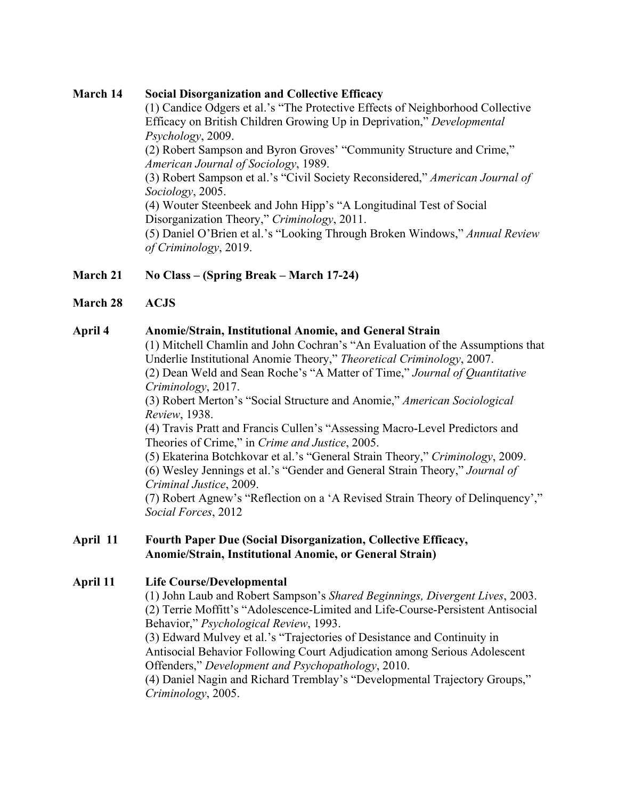#### **March 14 Social Disorganization and Collective Efficacy**

(1) Candice Odgers et al.'s "The Protective Effects of Neighborhood Collective Efficacy on British Children Growing Up in Deprivation," *Developmental Psychology*, 2009.

(2) Robert Sampson and Byron Groves' "Community Structure and Crime," *American Journal of Sociology*, 1989.

(3) Robert Sampson et al.'s "Civil Society Reconsidered," *American Journal of Sociology*, 2005.

(4) Wouter Steenbeek and John Hipp's "A Longitudinal Test of Social Disorganization Theory," *Criminology*, 2011.

(5) Daniel O'Brien et al.'s "Looking Through Broken Windows," *Annual Review of Criminology*, 2019.

## **March 21 No Class – (Spring Break – March 17-24)**

**March 28 ACJS**

#### **April 4 Anomie/Strain, Institutional Anomie, and General Strain**

(1) Mitchell Chamlin and John Cochran's "An Evaluation of the Assumptions that Underlie Institutional Anomie Theory," *Theoretical Criminology*, 2007. (2) Dean Weld and Sean Roche's "A Matter of Time," *Journal of Quantitative* 

*Criminology*, 2017.

(3) Robert Merton's "Social Structure and Anomie," *American Sociological Review*, 1938.

(4) Travis Pratt and Francis Cullen's "Assessing Macro-Level Predictors and Theories of Crime," in *Crime and Justice*, 2005.

(5) Ekaterina Botchkovar et al.'s "General Strain Theory," *Criminology*, 2009. (6) Wesley Jennings et al.'s "Gender and General Strain Theory," *Journal of Criminal Justice*, 2009.

(7) Robert Agnew's "Reflection on a 'A Revised Strain Theory of Delinquency'," *Social Forces*, 2012

#### **April 11 Fourth Paper Due (Social Disorganization, Collective Efficacy, Anomie/Strain, Institutional Anomie, or General Strain)**

### **April 11 Life Course/Developmental**

(1) John Laub and Robert Sampson's *Shared Beginnings, Divergent Lives*, 2003. (2) Terrie Moffitt's "Adolescence-Limited and Life-Course-Persistent Antisocial Behavior," *Psychological Review*, 1993.

(3) Edward Mulvey et al.'s "Trajectories of Desistance and Continuity in Antisocial Behavior Following Court Adjudication among Serious Adolescent Offenders," *Development and Psychopathology*, 2010.

(4) Daniel Nagin and Richard Tremblay's "Developmental Trajectory Groups," *Criminology*, 2005.